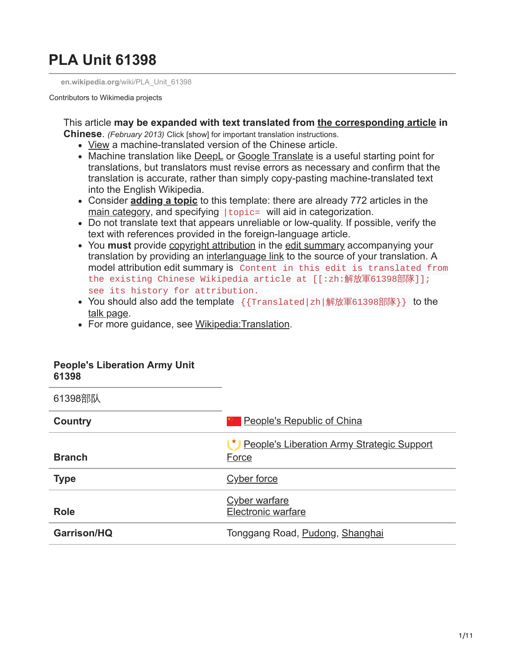# **PLA Unit 61398**

**en.wikipedia.org**[/wiki/PLA\\_Unit\\_61398](https://en.wikipedia.org/wiki/PLA_Unit_61398)

Contributors to Wikimedia projects

This article **may be expanded with text translated from [the corresponding article](https://zh.wikipedia.org/wiki/%E8%A7%A3%E6%94%BE%E8%BB%8D61398%E9%83%A8%E9%9A%8A) in Chinese**. *(February 2013)* Click [show] for important translation instructions.

- [View](https://translate.google.com/translate?&u=https%3A%2F%2Fzh.wikipedia.org%2Fwiki%2F%E8%A7%A3%E6%94%BE%E8%BB%8D61398%E9%83%A8%E9%9A%8A&sl=zh&tl=en&prev=_t&hl=en) a machine-translated version of the Chinese article.
- Machine translation like [DeepL](https://deepl.com/) or [Google Translate](https://translate.google.com/) is a useful starting point for translations, but translators must revise errors as necessary and confirm that the translation is accurate, rather than simply copy-pasting machine-translated text into the English Wikipedia.
- Consider **[adding a topic](https://en.wikipedia.org/wiki/Template:Expand_Chinese#Topics_and_categorization)** to this template: there are already 772 articles in the [main category](https://en.wikipedia.org/wiki/Category:Articles_needing_translation_from_Chinese_Wikipedia), and specifying | topic= will aid in categorization.
- Do not translate text that appears unreliable or low-quality. If possible, verify the text with references provided in the foreign-language article.
- You **must** provide [copyright attribution](https://en.wikipedia.org/wiki/Wikipedia:Copying_within_Wikipedia) in the [edit summary](https://en.wikipedia.org/wiki/Help:Edit_summary) accompanying your translation by providing an [interlanguage link](https://en.wikipedia.org/wiki/Help:Interlanguage_links) to the source of your translation. A model attribution edit summary is Content in this edit is translated from the existing Chinese Wikipedia article at [[:zh:解放軍61398部隊]]; see its history for attribution.
- You should also add the template {{Translated|zh|解放軍61398部隊}} to the [talk page.](https://en.wikipedia.org/wiki/Talk:PLA_Unit_61398)
- For more guidance, see [Wikipedia:Translation](https://en.wikipedia.org/wiki/Wikipedia:Translation).

#### **People's Liberation Army Unit 61398**

61398部队

| Country            | <b>People's Republic of China</b>                          |
|--------------------|------------------------------------------------------------|
| <b>Branch</b>      | <b>People's Liberation Army Strategic Support</b><br>Force |
| <b>Type</b>        | <b>Cyber force</b>                                         |
| <b>Role</b>        | <b>Cyber warfare</b><br>Electronic warfare                 |
| <b>Garrison/HQ</b> | Tonggang Road, Pudong, Shanghai                            |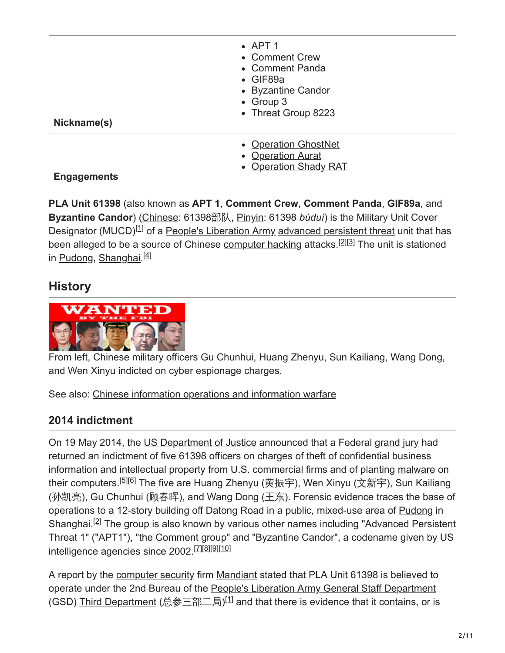- $\bullet$  APT 1
- Comment Crew
- Comment Panda
- GIF89a
- Byzantine Candor
- Group 3
- Threat Group 8223

**Nickname(s)**

- [Operation GhostNet](https://en.wikipedia.org/wiki/GhostNet)
- [Operation Aurat](https://en.wikipedia.org/w/index.php?title=Operation_Aurat&action=edit&redlink=1)
- [Operation Shady RAT](https://en.wikipedia.org/wiki/Operation_Shady_RAT)

### **Engagements**

**PLA Unit 61398** (also known as **APT 1**, **Comment Crew**, **Comment Panda**, **GIF89a**, and **Byzantine Candor**) [\(Chinese](https://en.wikipedia.org/wiki/Chinese_language): 61398部队, [Pinyin:](https://en.wikipedia.org/wiki/Pinyin) 61398 *bùduì*) is the Military Unit Cover Designator (MUCD)<sup>[1]</sup> of a [People's Liberation Army](https://en.wikipedia.org/wiki/People%27s_Liberation_Army) [advanced persistent threat](https://en.wikipedia.org/wiki/Advanced_persistent_threat) unit that has been alleged to be a source of Chinese [computer hacking](https://en.wikipedia.org/wiki/Hacker_(computer_security)) attacks.<sup>[2][3]</sup> The unit is stationed in <u>[Pudong](https://en.wikipedia.org/wiki/Pudong), [Shanghai](https://en.wikipedia.org/wiki/Shanghai) <sup>[4]</sup></u>

## **History**



From left, Chinese military officers Gu Chunhui, Huang Zhenyu, Sun Kailiang, Wang Dong, and Wen Xinyu indicted on cyber espionage charges.

See also: [Chinese information operations and information warfare](https://en.wikipedia.org/wiki/Chinese_information_operations_and_information_warfare)

## **2014 indictment**

On 19 May 2014, the [US Department of Justice](https://en.wikipedia.org/wiki/US_Department_of_Justice) announced that a Federal [grand jury](https://en.wikipedia.org/wiki/Grand_jury) had returned an indictment of five 61398 officers on charges of theft of confidential business information and intellectual property from U.S. commercial firms and of planting [malware](https://en.wikipedia.org/wiki/Malware) on their computers.<sup>[5][6]</sup> The five are Huang Zhenyu (黄振宇), Wen Xinyu (文新宇), Sun Kailiang (孙凯亮), Gu Chunhui (顾春晖), and Wang Dong (王东). Forensic evidence traces the base of operations to a 12-story building off Datong Road in a public, mixed-use area of [Pudong](https://en.wikipedia.org/wiki/Pudong) in Shanghai.<sup>[2]</sup> The group is also known by various other names including "Advanced Persistent Threat 1" ("APT1"), "the Comment group" and "Byzantine Candor", a codename given by US intelligence agencies since 2002.<sup>[Z][8][9][10]</sup>

A report by the [computer security](https://en.wikipedia.org/wiki/Computer_security) firm [Mandiant](https://en.wikipedia.org/wiki/Mandiant) stated that PLA Unit 61398 is believed to operate under the 2nd Bureau of the [People's Liberation Army General Staff Department](https://en.wikipedia.org/wiki/People%27s_Liberation_Army_General_Staff_Department) (GSD) <u>Third Department</u> (总参三部二局)<sup>[1]</sup> and that there is evidence that it contains, or is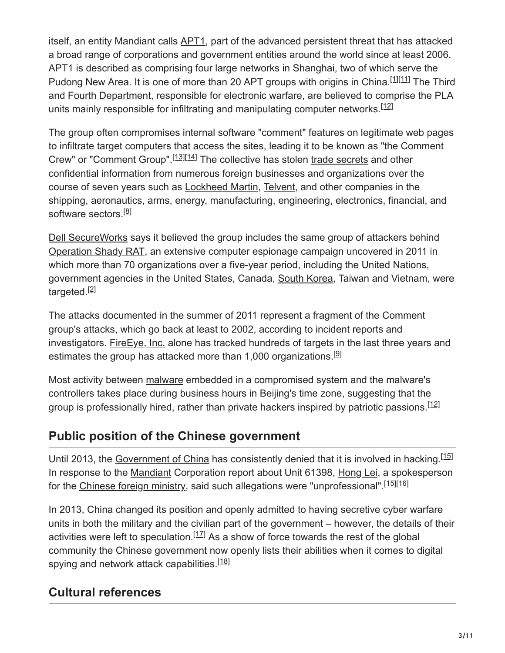itself, an entity Mandiant calls [APT1](https://en.wikipedia.org/wiki/APT1), part of the advanced persistent threat that has attacked a broad range of corporations and government entities around the world since at least 2006. APT1 is described as comprising four large networks in Shanghai, two of which serve the Pudong New Area. It is one of more than 20 APT groups with origins in China.<sup>[1][11]</sup> The Third and [Fourth Department](https://en.wikipedia.org/wiki/People%27s_Liberation_Army#Fourth_Department), responsible for [electronic warfare,](https://en.wikipedia.org/wiki/Electronic_warfare) are believed to comprise the PLA units mainly responsible for infiltrating and manipulating computer networks.<sup>[12]</sup>

The group often compromises internal software "comment" features on legitimate web pages to infiltrate target computers that access the sites, leading it to be known as "the Comment Crew" or "Comment Group".<sup>[13][14]</sup> The collective has stolen [trade secrets](https://en.wikipedia.org/wiki/Trade_secret) and other confidential information from numerous foreign businesses and organizations over the course of seven years such as [Lockheed Martin](https://en.wikipedia.org/wiki/Lockheed_Martin), [Telvent,](https://en.wikipedia.org/wiki/Telvent) and other companies in the shipping, aeronautics, arms, energy, manufacturing, engineering, electronics, financial, and software sectors.<sup>[8]</sup>

[Dell SecureWorks](https://en.wikipedia.org/wiki/Dell_SecureWorks) says it believed the group includes the same group of attackers behind [Operation Shady RAT,](https://en.wikipedia.org/wiki/Operation_Shady_RAT) an extensive computer espionage campaign uncovered in 2011 in which more than 70 organizations over a five-year period, including the United Nations, government agencies in the United States, Canada, [South Korea,](https://en.wikipedia.org/wiki/South_Korea) Taiwan and Vietnam, were targeted.<sup>[2]</sup>

The attacks documented in the summer of 2011 represent a fragment of the Comment group's attacks, which go back at least to 2002, according to incident reports and investigators. [FireEye, Inc.](https://en.wikipedia.org/wiki/FireEye,_Inc.) alone has tracked hundreds of targets in the last three years and estimates the group has attacked more than 1,000 organizations.<sup>[9]</sup>

Most activity between [malware](https://en.wikipedia.org/wiki/Malware) embedded in a compromised system and the malware's controllers takes place during business hours in Beijing's time zone, suggesting that the group is professionally hired, rather than private hackers inspired by patriotic passions.<sup>[12]</sup>

## **Public position of the Chinese government**

Until 2013, the [Government of China](https://en.wikipedia.org/wiki/Government_of_China) has consistently denied that it is involved in hacking.<sup>[15]</sup> In response to the [Mandiant](https://en.wikipedia.org/wiki/Mandiant) Corporation report about Unit 61398, [Hong Lei,](https://en.wikipedia.org/wiki/Hong_Lei_(politician)) a spokesperson for the [Chinese foreign ministry](https://en.wikipedia.org/wiki/Ministry_of_Foreign_Affairs_of_the_People%27s_Republic_of_China), said such allegations were "unprofessional".<sup>[15][16]</sup>

In 2013, China changed its position and openly admitted to having secretive cyber warfare units in both the military and the civilian part of the government – however, the details of their activities were left to speculation.  $[17]$  As a show of force towards the rest of the global community the Chinese government now openly lists their abilities when it comes to digital spying and network attack capabilities.<sup>[18]</sup>

## **Cultural references**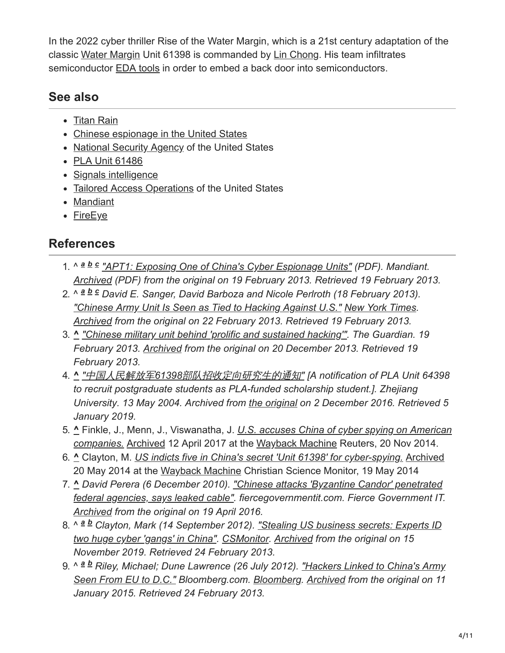In the 2022 cyber thriller Rise of the Water Margin, which is a 21st century adaptation of the classic [Water Margin](https://en.wikipedia.org/wiki/Water_Margin) Unit 61398 is commanded by [Lin Chong.](https://en.wikipedia.org/wiki/Lin_Chong) His team infiltrates semiconductor [EDA tools](https://en.wikipedia.org/wiki/EDA_tool) in order to embed a back door into semiconductors.

## **See also**

- [Titan Rain](https://en.wikipedia.org/wiki/Titan_Rain)
- [Chinese espionage in the United States](https://en.wikipedia.org/wiki/Chinese_espionage_in_the_United_States)
- [National Security Agency](https://en.wikipedia.org/wiki/National_Security_Agency) of the United States
- [PLA Unit 61486](https://en.wikipedia.org/wiki/PLA_Unit_61486)
- [Signals intelligence](https://en.wikipedia.org/wiki/Signals_intelligence)
- [Tailored Access Operations](https://en.wikipedia.org/wiki/Tailored_Access_Operations) of the United States
- [Mandiant](https://en.wikipedia.org/wiki/Mandiant)
- [FireEye](https://en.wikipedia.org/wiki/FireEye)

## **References**

- 1. ^  $a$  *b*  $c$  ["APT1: Exposing One of China's Cyber Espionage Units"](http://intelreport.mandiant.com/Mandiant_APT1_Report.pdf) (PDF). Mandiant. *[Archived](https://web.archive.org/web/20130219155150/http://intelreport.mandiant.com/Mandiant_APT1_Report.pdf) (PDF) from the original on 19 February 2013. Retrieved 19 February 2013.*
- 2. ^  $a$   $b$   $c$  David E. Sanger, David Barboza and Nicole Perlroth (18 February 2013). *["Chinese Army Unit Is Seen as Tied to Hacking Against U.S."](https://www.nytimes.com/2013/02/19/technology/chinas-army-is-seen-as-tied-to-hacking-against-us.html?emc=na&_r=1&) [New York Times.](https://en.wikipedia.org/wiki/New_York_Times) [Archived](https://web.archive.org/web/20130222084011/http://www.nytimes.com/2013/02/19/technology/chinas-army-is-seen-as-tied-to-hacking-against-us.html?emc=na&_r=1&) from the original on 22 February 2013. Retrieved 19 February 2013.*
- 3. **^** *["Chinese military unit behind 'prolific and sustained hacking'".](https://www.theguardian.com/world/2013/feb/19/chinese-military-unit-prolific-hacking) The Guardian. 19 February 2013. [Archived](https://web.archive.org/web/20131220122401/http://www.theguardian.com/world/2013/feb/19/chinese-military-unit-prolific-hacking) from the original on 20 December 2013. Retrieved 19 February 2013.*
- 4. **^** *"*中国人民解放军*61398*[部队招收定向研究生的通知](https://web.archive.org/web/20161202172240/http://www.cs.zju.edu.cn/chinese/redir.php?catalog_id=101913&object_id=106021)*" [A notification of PLA Unit 64398 to recruit postgraduate students as PLA-funded scholarship student.]. Zhejiang University. 13 May 2004. Archived from [the original](http://www.cs.zju.edu.cn/chinese/redir.php?catalog_id=101913&object_id=106021) on 2 December 2016. Retrieved 5 January 2019.*
- 5. **^** Finkle, J., Menn, J., Viswanatha, J. *U.S. accuses China of cyber spying on American companies.* [Archived 12 April 2017 at the Wayback Machine Reuters, 20 Nov 2014.](https://www.reuters.com/article/us-cybercrime-usa-china-idUSKCN0J42M520141120)
- 6. **^** Clayton, M. *[US indicts five in China's secret 'Unit 61398' for cyber-spying.](http://www.csmonitor.com/World/Security-Watch/Cyber-Conflict-Monitor/2014/0519/US-indicts-five-in-China-s-secret-Unit-61398-for-cyber-spying-on-US-firms)* [Archived](https://web.archive.org/web/20140520075207/http://www.csmonitor.com/World/Security-Watch/Cyber-Conflict-Monitor/2014/0519/US-indicts-five-in-China-s-secret-Unit-61398-for-cyber-spying-on-US-firms) 20 May 2014 at the [Wayback Machine](https://en.wikipedia.org/wiki/Wayback_Machine) Christian Science Monitor, 19 May 2014
- 7. **^** *[David Perera \(6 December 2010\). "Chinese attacks 'Byzantine Candor' penetrated](http://www.fiercegovernmentit.com/story/chinese-attacks-byzantine-candor-penetrated-federal-agencies-says-leaked-ca/2010-12-06) federal agencies, says leaked cable". fiercegovernmentit.com. Fierce Government IT. [Archived](https://web.archive.org/web/20160419054340/http://www.fiercegovernmentit.com/story/chinese-attacks-byzantine-candor-penetrated-federal-agencies-says-leaked-ca/2010-12-06) from the original on 19 April 2016.*
- 8. ^ <sup>a b</sup> Clayton, Mark (14 September 2012). <u>"Stealing US business secrets: Experts ID</u> *two huge cyber 'gangs' in China". [CSMonitor.](https://en.wikipedia.org/wiki/CSMonitor) [Archived](https://web.archive.org/web/20191115165311/https://www.csmonitor.com/USA/2012/0914/Stealing-US-business-secrets-Experts-ID-two-huge-cyber-gangs-in-China) from the original on 15 November 2019. Retrieved 24 February 2013.*
- 9. ^ ª ª Riley, Michael; Dune Lawrence (26 July 2012). <u>"Hackers Linked to China's Army</u> *Seen From EU to D.C." Bloomberg.com. [Bloomberg](https://en.wikipedia.org/wiki/Bloomberg_L.P.). [Archived](https://web.archive.org/web/20150111064254/http://www.bloomberg.com/news/2012-07-26/china-hackers-hit-eu-point-man-and-d-c-with-byzantine-candor.html) from the original on 11 January 2015. Retrieved 24 February 2013.*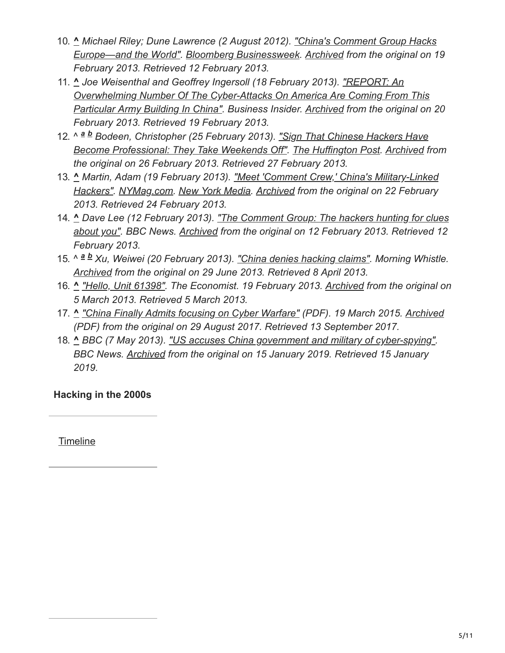- 10. **^** *Michael Riley; Dune Lawrence (2 August 2012). "China's Comment Group Hacks [Europe—and the World". Bloomberg Businessweek. Archived from the original on 1](http://www.businessweek.com/articles/2012-08-02/chinas-comment-group-hacks-europe-and-the-world)9 February 2013. Retrieved 12 February 2013.*
- 11. **^** *Joe Weisenthal and Geoffrey Ingersoll (18 February 2013). "REPORT: An Overwhelming Number Of The Cyber-Attacks On America Are Coming From This [Particular Army Building In China". Business Insider. Archived from the original on](http://www.businessinsider.com/china-hacking-pla-unit-61398-2013-2) 20 February 2013. Retrieved 19 February 2013.*
- 12. ^ <sup>a</sup> **b** Bodeen, Christopher (25 February 2013). "Sign That Chinese Hackers Have *[Become Professional: They Take Weekends Off". The Huffington Post. Archived f](http://www.huffingtonpost.com/2013/02/25/chinese-hackers_n_2756914.html)rom the original on 26 February 2013. Retrieved 27 February 2013.*
- 13. **^** *Martin, Adam (19 February 2013). "Meet 'Comment Crew,' China's Military-Linked [Hackers". NYMag.com. New York Media. Archived from the original on 22 February](http://nymag.com/daily/intelligencer/2013/02/meet-comment-crew-chinas-military-hackers.html) 2013. Retrieved 24 February 2013.*
- 14. **^** *[Dave Lee \(12 February 2013\). "The Comment Group: The hackers hunting for clues](https://www.bbc.co.uk/news/business-21371608) about you". BBC News. [Archived](https://web.archive.org/web/20130212155404/http://www.bbc.co.uk/news/business-21371608) from the original on 12 February 2013. Retrieved 12 February 2013.*
- 15. ^ a b Xu, Weiwei (20 February 2013). ["China denies hacking claims"](http://www.morningwhistle.com/html/2013/PoliticsSociety_0220/217214.html). Morning Whistle. *[Archived](https://archive.today/20130629220425/http://www.morningwhistle.com/html/2013/PoliticsSociety_0220/217214.html) from the original on 29 June 2013. Retrieved 8 April 2013.*
- 16. **^** *["Hello, Unit 61398".](https://www.economist.com/blogs/analects/2013/02/chinese-cyber-attacks?spc=scode&spv=xm&ah=9d7f7ab945510a56fa6d37c30b6f1709) The Economist. 19 February 2013. [Archived](https://web.archive.org/web/20130305062734/http://www.economist.com/blogs/analects/2013/02/chinese-cyber-attacks?spc=scode&spv=xm&ah=9d7f7ab945510a56fa6d37c30b6f1709) from the original on 5 March 2013. Retrieved 5 March 2013.*
- 17. **^** *["China Finally Admits focusing on Cyber Warfare"](http://www.ucsusa.org/sites/default/files/attach/2015/03/chinese-nuclear-strategy-full-report.pdf) (PDF). 19 March 2015. [Archived](https://web.archive.org/web/20170829025423/http://www.ucsusa.org/sites/default/files/attach/2015/03/chinese-nuclear-strategy-full-report.pdf) (PDF) from the original on 29 August 2017. Retrieved 13 September 2017.*
- 18. **^** *BBC (7 May 2013). ["US accuses China government and military of cyber-spying".](https://www.bbc.com/news/world-asia-china-22430224) BBC News. [Archived](https://web.archive.org/web/20190115192443/https://www.bbc.com/news/world-asia-china-22430224) from the original on 15 January 2019. Retrieved 15 January 2019.*

**Hacking in the 2000s**

**[Timeline](https://en.wikipedia.org/wiki/Timeline_of_computer_security_hacker_history#2000s)**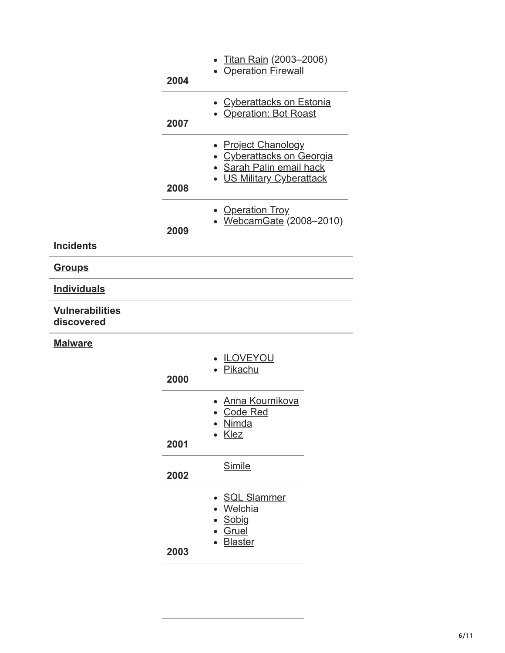|                                      | 2004 | Titan Rain (2003-2006)<br><b>Operation Firewall</b>                                                                    |
|--------------------------------------|------|------------------------------------------------------------------------------------------------------------------------|
|                                      | 2007 | <b>Cyberattacks on Estonia</b><br>• Operation: Bot Roast                                                               |
|                                      | 2008 | <b>Project Chanology</b><br><b>Cyberattacks on Georgia</b><br>Sarah Palin email hack<br><b>US Military Cyberattack</b> |
|                                      | 2009 | <b>Operation Troy</b><br>WebcamGate (2008-2010)                                                                        |
| <b>Incidents</b>                     |      |                                                                                                                        |
| <u>Groups</u>                        |      |                                                                                                                        |
| <b>Individuals</b>                   |      |                                                                                                                        |
| <b>Vulnerabilities</b><br>discovered |      |                                                                                                                        |
| <b>Malware</b>                       |      |                                                                                                                        |
|                                      | 2000 | <b>ILOVEYOU</b><br>Pikachu                                                                                             |
|                                      | 2001 | Anna Kournikova<br><b>Code Red</b><br><u>Nimda</u><br><b>Klez</b>                                                      |
|                                      | 2002 | <b>Simile</b>                                                                                                          |

- [SQL Slammer](https://en.wikipedia.org/wiki/SQL_Slammer)
- [Welchia](https://en.wikipedia.org/wiki/Welchia)
- [Sobig](https://en.wikipedia.org/wiki/Sobig)
- [Gruel](https://en.wikipedia.org/wiki/Gruel_(computer_worm))
- [Blaster](https://en.wikipedia.org/wiki/Blaster_(computer_worm))

**2003**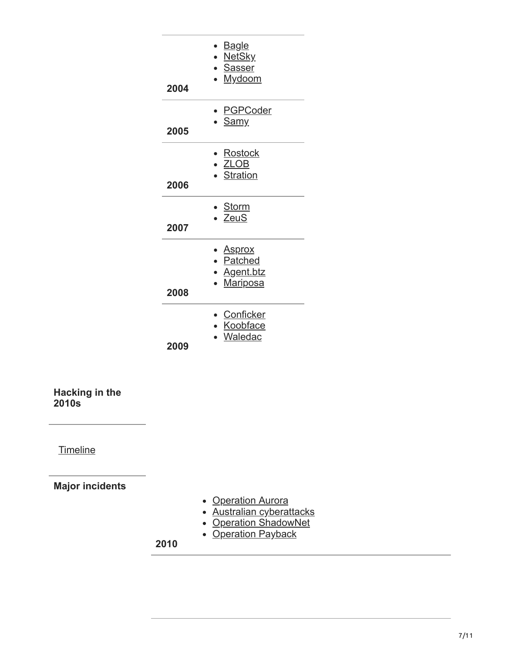| 2004 | ▶ <u>Bagle</u><br>• NetSky<br>• Sasser<br><u>Mydoom</u>   |
|------|-----------------------------------------------------------|
| 2005 | ∙ <u>PGPCoder</u><br>· Samy                               |
| 2006 | Rostock<br>· ZLOB<br>· Stration                           |
| 2007 | • <u>Storm</u><br>· ZeuS                                  |
| 2008 | • <u>Asprox</u><br>• Patched<br>■ Agent.btz<br>• Mariposa |
| 2009 | Conficker<br>• Koobface<br>Waledac                        |

**Hacking in the 2010s**

**[Timeline](https://en.wikipedia.org/wiki/Timeline_of_computer_security_hacker_history#2010s)** 

**Major incidents**

- **[Operation Aurora](https://en.wikipedia.org/wiki/Operation_Aurora)**
- [Australian cyberattacks](https://en.wikipedia.org/wiki/February_2010_Australian_cyberattacks)
- **[Operation ShadowNet](https://en.wikipedia.org/wiki/Shadow_Network)**
- **[Operation Payback](https://en.wikipedia.org/wiki/Operation_Payback)**

**2010**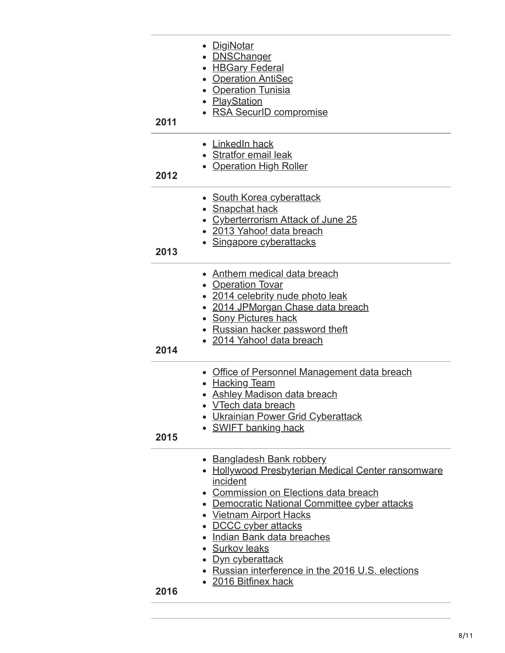| 2011 | • <u>DigiNotar</u><br><b>DNSChanger</b><br>$\bullet$<br>• <b>HBGary Federal</b><br>• Operation AntiSec<br>• Operation Tunisia<br>• PlayStation<br>• RSA SecurID compromise                                                                                                                                                                                                                  |
|------|---------------------------------------------------------------------------------------------------------------------------------------------------------------------------------------------------------------------------------------------------------------------------------------------------------------------------------------------------------------------------------------------|
| 2012 | • LinkedIn hack<br>• Stratfor email leak<br><b>Operation High Roller</b>                                                                                                                                                                                                                                                                                                                    |
| 2013 | • South Korea cyberattack<br>• Snapchat hack<br>• Cyberterrorism Attack of June 25<br>• 2013 Yahoo! data breach<br>• Singapore cyberattacks                                                                                                                                                                                                                                                 |
| 2014 | <b>Anthem medical data breach</b><br><b>Operation Tovar</b><br>• 2014 celebrity nude photo leak<br>• 2014 JPMorgan Chase data breach<br>• Sony Pictures hack<br>• Russian hacker password theft<br>• 2014 Yahoo! data breach                                                                                                                                                                |
| 2015 | <b>Office of Personnel Management data breach</b><br><b>Hacking Team</b><br>• Ashley Madison data breach<br>• VTech data breach<br>• Ukrainian Power Grid Cyberattack<br>• SWIFT banking hack                                                                                                                                                                                               |
| 2016 | • Bangladesh Bank robbery<br>• Hollywood Presbyterian Medical Center ransomware<br>incident<br>• Commission on Elections data breach<br>• Democratic National Committee cyber attacks<br>• Vietnam Airport Hacks<br>• DCCC cyber attacks<br>• Indian Bank data breaches<br>• Surkov leaks<br>• Dyn cyberattack<br>• Russian interference in the 2016 U.S. elections<br>• 2016 Bitfinex hack |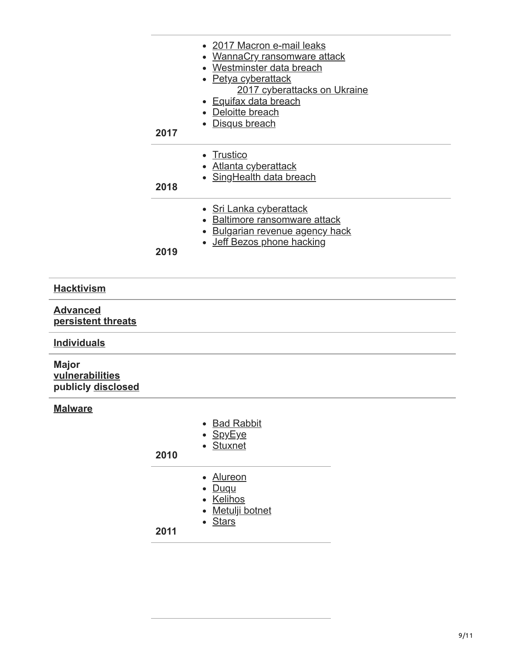| 2017 | • 2017 Macron e-mail leaks<br>• WannaCry ransomware attack<br>• Westminster data breach<br>• Petya cyberattack<br>2017 cyberattacks on Ukraine<br>• Equifax data breach<br>• Deloitte breach<br>• Disqus breach |
|------|-----------------------------------------------------------------------------------------------------------------------------------------------------------------------------------------------------------------|
| 2018 | Trustico<br>• Atlanta cyberattack<br>• SingHealth data breach                                                                                                                                                   |
| 2019 | <u>• Sri Lanka cyberattack</u><br>• Baltimore ransomware attack<br>• Bulgarian revenue agency hack<br>• Jeff Bezos phone hacking                                                                                |

### **[Hacktivism](https://en.wikipedia.org/wiki/Hacktivism)**

### **Advanced [persistent threats](https://en.wikipedia.org/wiki/Advanced_persistent_threat)**

### **[Individuals](https://en.wikipedia.org/wiki/Hacker)**

### **Major [vulnerabilities](https://en.wikipedia.org/wiki/Vulnerability_(computing)) publicly [disclosed](https://en.wikipedia.org/wiki/Full_disclosure_(computer_security))**

### **[Malware](https://en.wikipedia.org/wiki/Malware)**

| 2010 | • Bad Rabbit<br>• SpyEye<br>• Stuxnet |
|------|---------------------------------------|
|      | • Alureon                             |
|      | • Duqu<br>• Kelihos                   |
|      | • Metulji botnet                      |
|      | <b>Stars</b>                          |

### **2011**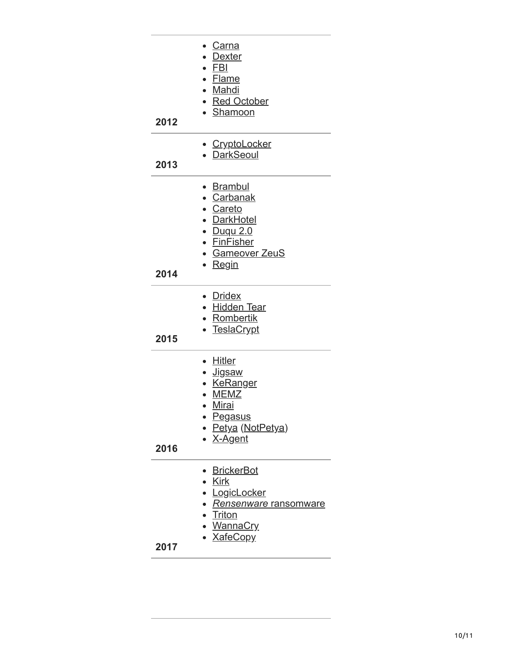| 2012 | ∙ <u>Carna</u><br>Dexter<br>$\cdot$ FBI<br>• Flame<br>• Mahdi<br>• Red October<br>· Shamoon                                                   |
|------|-----------------------------------------------------------------------------------------------------------------------------------------------|
| 2013 | <u>• CryptoLocker</u><br>• DarkSeoul                                                                                                          |
| 2014 | • <u>Brambul</u><br>• Carbanak<br>• Careto<br>• DarkHotel<br><u>• Duqu 2.0</u><br>• FinFisher<br>• Gameover ZeuS<br>• <u>Regin</u>            |
| 2015 | • Dridex<br>• Hidden Tear<br>• Rombertik<br>• <u>TeslaCrypt</u>                                                                               |
| 2016 | • Hitler<br>∙ <u>Jigsaw</u><br><b>KeRanger</b><br><b>MEMZ</b><br>· Mirai<br>∙ <u>Pegasus</u><br>• <u>Petya</u> (NotPetya)<br>• <u>X-Agent</u> |
| 2017 | <b>BrickerBot</b><br>• <u>Kirk</u><br>· LogicLocker<br>• Rensenware ransomware<br>• <u>Triton</u><br><u>• WannaCry</u><br>• <b>XafeCopy</b>   |